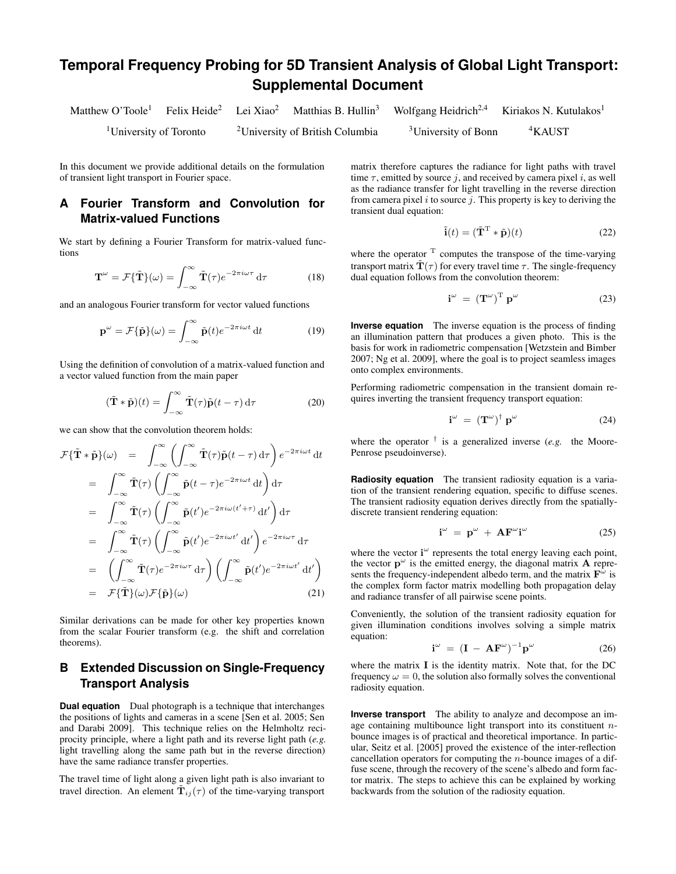# **Temporal Frequency Probing for 5D Transient Analysis of Global Light Transport: Supplemental Document**

|                                    |  |                                             | Matthew O'Toole <sup>1</sup> Felix Heide <sup>2</sup> Lei Xiao <sup>2</sup> Matthias B. Hullin <sup>3</sup> Wolfgang Heidrich <sup>2,4</sup> Kiriakos N. Kutulakos <sup>1</sup> |                    |
|------------------------------------|--|---------------------------------------------|---------------------------------------------------------------------------------------------------------------------------------------------------------------------------------|--------------------|
| <sup>1</sup> University of Toronto |  | <sup>2</sup> University of British Columbia | <sup>3</sup> University of Bonn                                                                                                                                                 | <sup>4</sup> KAUST |

In this document we provide additional details on the formulation of transient light transport in Fourier space.

#### **A Fourier Transform and Convolution for Matrix-valued Functions**

We start by defining a Fourier Transform for matrix-valued functions

$$
\mathbf{T}^{\omega} = \mathcal{F}\{\tilde{\mathbf{T}}\}(\omega) = \int_{-\infty}^{\infty} \tilde{\mathbf{T}}(\tau) e^{-2\pi i \omega \tau} d\tau
$$
 (18)

and an analogous Fourier transform for vector valued functions

$$
\mathbf{p}^{\omega} = \mathcal{F}\{\tilde{\mathbf{p}}\}(\omega) = \int_{-\infty}^{\infty} \tilde{\mathbf{p}}(t)e^{-2\pi i \omega t} dt \qquad (19)
$$

Using the definition of convolution of a matrix-valued function and a vector valued function from the main paper

$$
(\tilde{\mathbf{T}} * \tilde{\mathbf{p}})(t) = \int_{-\infty}^{\infty} \tilde{\mathbf{T}}(\tau) \tilde{\mathbf{p}}(t - \tau) d\tau
$$
 (20)

we can show that the convolution theorem holds:

$$
\mathcal{F}\{\tilde{\mathbf{T}}*\tilde{\mathbf{p}}\}(\omega) = \int_{-\infty}^{\infty} \left(\int_{-\infty}^{\infty} \tilde{\mathbf{T}}(\tau)\tilde{\mathbf{p}}(t-\tau) d\tau\right) e^{-2\pi i \omega t} dt
$$

$$
= \int_{-\infty}^{\infty} \tilde{\mathbf{T}}(\tau) \left(\int_{-\infty}^{\infty} \tilde{\mathbf{p}}(t-\tau)e^{-2\pi i \omega t} dt\right) d\tau
$$

$$
= \int_{-\infty}^{\infty} \tilde{\mathbf{T}}(\tau) \left(\int_{-\infty}^{\infty} \tilde{\mathbf{p}}(t')e^{-2\pi i \omega t'} dt'\right) d\tau
$$

$$
= \int_{-\infty}^{\infty} \tilde{\mathbf{T}}(\tau) \left(\int_{-\infty}^{\infty} \tilde{\mathbf{p}}(t')e^{-2\pi i \omega t'} dt'\right) e^{-2\pi i \omega \tau} d\tau
$$

$$
= \left(\int_{-\infty}^{\infty} \tilde{\mathbf{T}}(\tau)e^{-2\pi i \omega \tau} d\tau\right) \left(\int_{-\infty}^{\infty} \tilde{\mathbf{p}}(t')e^{-2\pi i \omega t'} dt'\right)
$$

$$
= \mathcal{F}\{\tilde{\mathbf{T}}\}(\omega)\mathcal{F}\{\tilde{\mathbf{p}}\}(\omega) \tag{21}
$$

Similar derivations can be made for other key properties known from the scalar Fourier transform (e.g. the shift and correlation theorems).

## **B Extended Discussion on Single-Frequency Transport Analysis**

**Dual equation** Dual photograph is a technique that interchanges the positions of li[ghts and cameras in a scene](#page-2-1) [\[Sen et al. 2005;](#page-2-0) Sen and Darabi 2009]. This technique relies on the Helmholtz reciprocity principle, where a light path and its reverse light path (*e.g.* light travelling along the same path but in the reverse direction) have the same radiance transfer properties.

The travel time of light along a given light path is also invariant to travel direction. An element  $\tilde{T}_{ij}(\tau)$  of the time-varying transport matrix therefore captures the radiance for light paths with travel time  $\tau$ , emitted by source j, and received by camera pixel i, as well as the radiance transfer for light travelling in the reverse direction from camera pixel  $i$  to source  $j$ . This property is key to deriving the transient dual equation:

$$
\tilde{\mathbf{i}}(t) = (\tilde{\mathbf{T}}^{\mathrm{T}} * \tilde{\mathbf{p}})(t)
$$
 (22)

where the operator  $T$  computes the transpose of the time-varying transport matrix  $\tilde{\mathbf{T}}(\tau)$  for every travel time  $\tau$ . The single-frequency dual equation follows from the convolution theorem:

$$
\mathbf{i}^{\omega} = (\mathbf{T}^{\omega})^{\mathrm{T}} \mathbf{p}^{\omega} \tag{23}
$$

**Inverse equation** The inverse equation is the process of finding an illumination pattern that produces a given photo. This is the basis [for work in radiometric compensation \[](#page-2-2)Wetzstein and Bimber 2007; [Ng et al. 2009\]](#page-2-3), where the goal is to project seamless images onto complex environments.

Performing radiometric compensation in the transient domain requires inverting the transient frequency transport equation:

$$
\mathbf{i}^{\omega} = (\mathbf{T}^{\omega})^{\dagger} \mathbf{p}^{\omega} \tag{24}
$$

where the operator  $\dagger$  is a generalized inverse (*e.g.* the Moore-Penrose pseudoinverse).

**Radiosity equation** The transient radiosity equation is a variation of the transient rendering equation, specific to diffuse scenes. The transient radiosity equation derives directly from the spatiallydiscrete transient rendering equation:

$$
\mathbf{i}^{\omega} = \mathbf{p}^{\omega} + \mathbf{A} \mathbf{F}^{\omega} \mathbf{i}^{\omega} \tag{25}
$$

where the vector  $i^{\omega}$  represents the total energy leaving each point, the vector  $\mathbf{p}^{\omega}$  is the emitted energy, the diagonal matrix **A** represents the frequency-independent albedo term, and the matrix  $\mathbf{F}^{\tilde{\omega}}$  is the complex form factor matrix modelling both propagation delay and radiance transfer of all pairwise scene points.

Conveniently, the solution of the transient radiosity equation for given illumination conditions involves solving a simple matrix equation:

$$
\mathbf{i}^{\omega} = (\mathbf{I} - \mathbf{A} \mathbf{F}^{\omega})^{-1} \mathbf{p}^{\omega}
$$
 (26)

where the matrix I is the identity matrix. Note that, for the DC frequency  $\omega = 0$ , the solution also formally solves the conventional radiosity equation.

**Inverse transport** The ability to analyze and decompose an image containing multibounce light transport into its constituent  $n$ bounce images is of practical and theoretical importance. In particular, Seitz et al. [\[2005\]](#page-2-4) proved the existence of the inter-reflection cancellation operators for computing the  $n$ -bounce images of a diffuse scene, through the recovery of the scene's albedo and form factor matrix. The steps to achieve this can be explained by working backwards from the solution of the radiosity equation.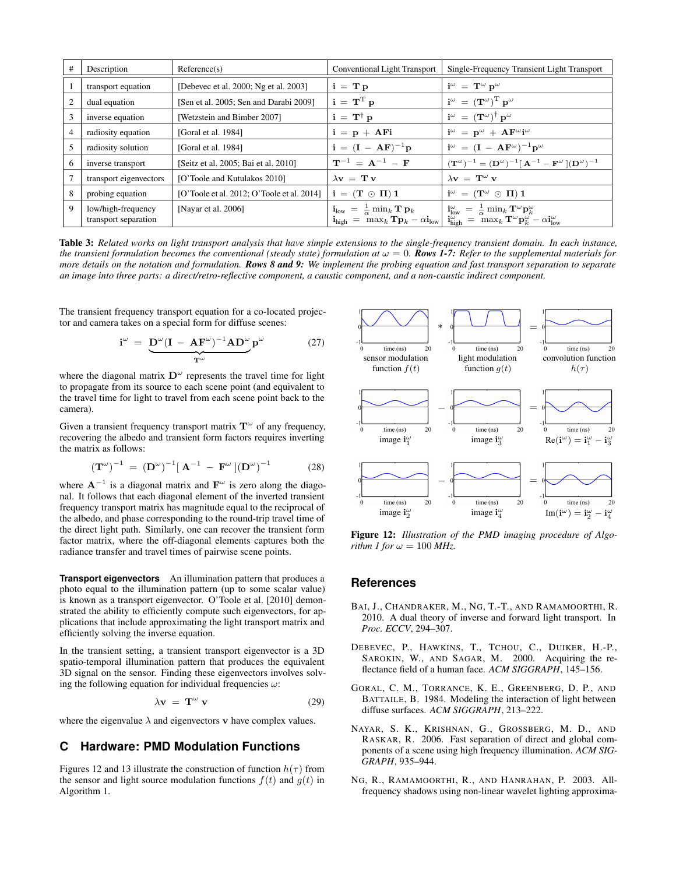| #              | Description                                | Reference(s)                               | Conventional Light Transport                                                                                                                                                                                | Single-Frequency Transient Light Transport                                                                                                                                                                                                   |
|----------------|--------------------------------------------|--------------------------------------------|-------------------------------------------------------------------------------------------------------------------------------------------------------------------------------------------------------------|----------------------------------------------------------------------------------------------------------------------------------------------------------------------------------------------------------------------------------------------|
|                | transport equation                         | [Debevec et al. 2000; Ng et al. 2003]      | $i = T p$                                                                                                                                                                                                   | $\mathbf{i}^{\omega} = \mathbf{T}^{\omega} \mathbf{p}^{\omega}$                                                                                                                                                                              |
| $\overline{2}$ | dual equation                              | [Sen et al. 2005; Sen and Darabi 2009]     | $\mathbf{i} = \mathbf{T}^{\mathrm{T}} \mathbf{p}$                                                                                                                                                           | $\mathbf{i}^{\omega} = (\mathbf{T}^{\omega})^{\mathrm{T}} \mathbf{p}^{\omega}$                                                                                                                                                               |
| 3              | inverse equation                           | [Wetzstein and Bimber 2007]                | $i = T^{\dagger} p$                                                                                                                                                                                         | $\mathbf{i}^{\omega} = (\mathbf{T}^{\omega})^{\dagger} \mathbf{p}^{\omega}$                                                                                                                                                                  |
| 4              | radiosity equation                         | [Goral et al. 1984]                        | $i = p + AFi$                                                                                                                                                                                               | $\mathbf{i}^{\omega} = \mathbf{p}^{\omega} + \mathbf{A} \mathbf{F}^{\omega} \mathbf{i}^{\omega}$                                                                                                                                             |
|                | radiosity solution                         | [Goral et al. 1984]                        | ${\bf i} = ({\bf I} - {\bf AF})^{-1} {\bf p}$                                                                                                                                                               | $\mathbf{i}^{\omega} = (\mathbf{I} - \mathbf{A} \mathbf{F}^{\omega})^{-1} \mathbf{p}^{\omega}$                                                                                                                                               |
| 6              | inverse transport                          | [Seitz et al. 2005; Bai et al. 2010]       | $T^{-1} = A^{-1} - F$                                                                                                                                                                                       | $({\bf T}^{\omega})^{-1} = ({\bf D}^{\omega})^{-1} [ {\bf A}^{-1} - {\bf F}^{\omega} ] ({\bf D}^{\omega})^{-1}$                                                                                                                              |
|                | transport eigenvectors                     | [O'Toole and Kutulakos 2010]               | $\lambda$ v = T v                                                                                                                                                                                           | $\lambda$ v = T <sup>ω</sup> v                                                                                                                                                                                                               |
| 8              | probing equation                           | [O'Toole et al. 2012; O'Toole et al. 2014] | $i = (T \odot \Pi) 1$                                                                                                                                                                                       | $\mathbf{i}^{\omega} = (\mathbf{T}^{\omega} \odot \mathbf{\Pi}) \mathbf{1}$                                                                                                                                                                  |
| 9              | low/high-frequency<br>transport separation | [Nayar et al. 2006]                        | $\mathbf{i}_{\text{low}} = \frac{1}{\alpha} \min_k \mathbf{T} \mathbf{p}_k$<br>$\mathbf{i}_{\text{high}} = \frac{\mathbf{a}_{\text{min}}}{\max_k \mathbf{T} \mathbf{p}_k - \alpha \mathbf{i}_{\text{low}}}$ | $\mathbf{i}^{\omega}_{\text{low}} = \frac{1}{\alpha} \min_k \mathbf{T}^{\omega} \mathbf{p}^{\omega}_k$<br>$\mathbf{i}_{\text{high}}^{\omega} = \max_k \mathbf{T}^{\omega} \mathbf{p}_{k}^{\omega} - \alpha \mathbf{i}_{\text{low}}^{\omega}$ |

Table 3: Related works on light transport analysis that have simple extensions to the single-frequency transient domain. In each instance, *the transient formulation becomes the conventional (steady state) formulation at*  $\omega = 0$ . *Rows 1-7: Refer to the supplemental materials for more details on the notation and formulation. Rows 8 and 9: We implement the probing equation and fast transport separation to separate an image into three parts: a direct/retro-reflective component, a caustic component, and a non-caustic indirect component.*

The transient frequency transport equation for a co-located projector and camera takes on a special form for diffuse scenes:

$$
\mathbf{i}^{\omega} = \underbrace{\mathbf{D}^{\omega} (\mathbf{I} - \mathbf{A} \mathbf{F}^{\omega})^{-1} \mathbf{A} \mathbf{D}^{\omega}}_{\mathbf{T}^{\omega}} \mathbf{p}^{\omega}
$$
(27)

where the diagonal matrix  $D^{\omega}$  represents the travel time for light to propagate from its source to each scene point (and equivalent to the travel time for light to travel from each scene point back to the camera).

Given a transient frequency transport matrix  $T^{\omega}$  of any frequency, recovering the albedo and transient form factors requires inverting the matrix as follows:

$$
(\mathbf{T}^{\omega})^{-1} = (\mathbf{D}^{\omega})^{-1} [\mathbf{A}^{-1} - \mathbf{F}^{\omega}] (\mathbf{D}^{\omega})^{-1}
$$
 (28)

where  $A^{-1}$  is a diagonal matrix and  $F^{\omega}$  is zero along the diagonal. It follows that each diagonal element of the inverted transient frequency transport matrix has magnitude equal to the reciprocal of the albedo, and phase corresponding to the round-trip travel time of the direct light path. Similarly, one can recover the transient form factor matrix, where the off-diagonal elements captures both the radiance transfer and travel times of pairwise scene points.

**Transport eigenvectors** An illumination pattern that produces a photo equal to the illumination pattern (up to some scalar value) is known as a transport eigenvector. O'Toole et al. [\[2010\]](#page-2-5) demonstrated the ability to efficiently compute such eigenvectors, for applications that include approximating the light transport matrix and efficiently solving the inverse equation.

In the transient setting, a transient transport eigenvector is a 3D spatio-temporal illumination pattern that produces the equivalent 3D signal on the sensor. Finding these eigenvectors involves solving the following equation for individual frequencies  $\omega$ :

$$
\lambda \mathbf{v} = \mathbf{T}^{\omega} \mathbf{v} \tag{29}
$$

where the eigenvalue  $\lambda$  and eigenvectors **v** have complex values.

### **C Hardware: PMD Modulation Functions**

Figures [12](#page-1-5) and [13](#page-2-8) illustrate the construction of function  $h(\tau)$  from the sensor and light source modulation functions  $f(t)$  and  $g(t)$  in Algorithm 1.

<span id="page-1-5"></span>

**Figure 12:** *Illustration of the PMD imaging procedure of Algorithm 1 for*  $\omega = 100 \text{ MHz}$ .

#### **References**

- <span id="page-1-3"></span>BAI, J., CHANDRAKER, M., NG, T.-T., AND RAMAMOORTHI, R. 2010. A dual theory of inverse and forward light transport. In *Proc. ECCV*, 294–307.
- <span id="page-1-0"></span>DEBEVEC, P., HAWKINS, T., TCHOU, C., DUIKER, H.-P., SAROKIN, W., AND SAGAR, M. 2000. Acquiring the reflectance field of a human face. *ACM SIGGRAPH*, 145–156.
- <span id="page-1-2"></span>GORAL, C. M., TORRANCE, K. E., GREENBERG, D. P., AND BATTAILE, B. 1984. Modeling the interaction of light between diffuse surfaces. *ACM SIGGRAPH*, 213–222.
- <span id="page-1-4"></span>NAYAR, S. K., KRISHNAN, G., GROSSBERG, M. D., AND RASKAR, R. 2006. Fast separation of direct and global components of a scene using high frequency illumination. *ACM SIG-GRAPH*, 935–944.
- <span id="page-1-1"></span>NG, R., RAMAMOORTHI, R., AND HANRAHAN, P. 2003. Allfrequency shadows using non-linear wavelet lighting approxima-